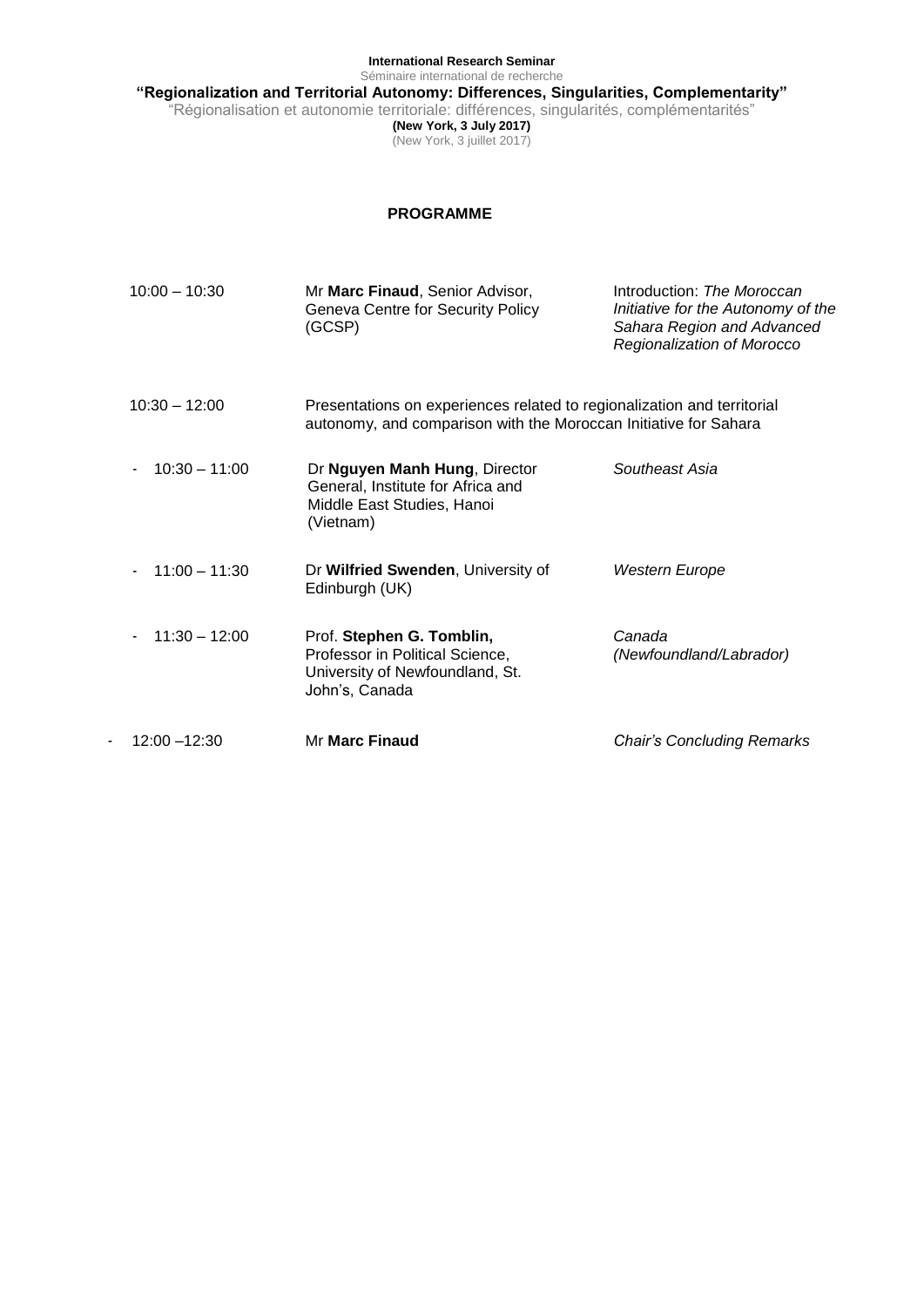**International Research Seminar** Séminaire international de recherche

**"Regionalization and Territorial Autonomy: Differences, Singularities, Complementarity"**

"Régionalisation et autonomie territoriale: différences, singularités, complémentarités"

**(New York, 3 July 2017)** (New York, 3 juillet 2017)

## **PROGRAMME**

| $10:00 - 10:30$ | Mr Marc Finaud, Senior Advisor,<br>Geneva Centre for Security Policy<br>(GCSP)                                                              | Introduction: The Moroccan<br>Initiative for the Autonomy of the<br>Sahara Region and Advanced<br>Regionalization of Morocco |
|-----------------|---------------------------------------------------------------------------------------------------------------------------------------------|------------------------------------------------------------------------------------------------------------------------------|
| $10:30 - 12:00$ | Presentations on experiences related to regionalization and territorial<br>autonomy, and comparison with the Moroccan Initiative for Sahara |                                                                                                                              |
| $10:30 - 11:00$ | Dr Nguyen Manh Hung, Director<br>General, Institute for Africa and<br>Middle East Studies, Hanoi<br>(Vietnam)                               | Southeast Asia                                                                                                               |
| $11:00 - 11:30$ | Dr Wilfried Swenden, University of<br>Edinburgh (UK)                                                                                        | Western Europe                                                                                                               |
| $11:30 - 12:00$ | Prof. Stephen G. Tomblin,<br>Professor in Political Science,<br>University of Newfoundland, St.<br>John's, Canada                           | Canada<br>(Newfoundland/Labrador)                                                                                            |
| $12:00 - 12:30$ | <b>Mr Marc Finaud</b>                                                                                                                       | <b>Chair's Concluding Remarks</b>                                                                                            |